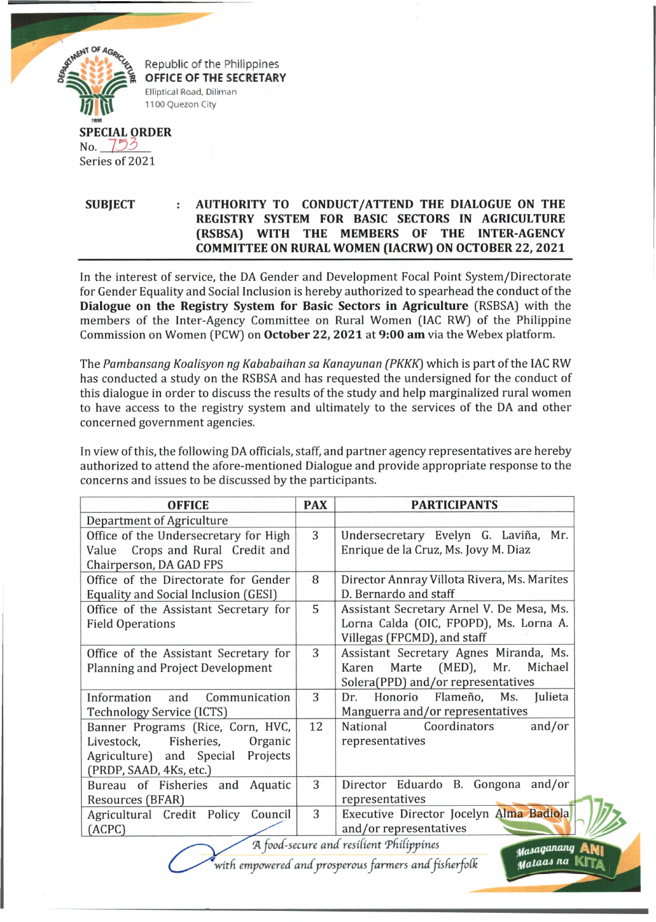

## **SUBJECT : AUTHORITY TO CONDUCT/ATTEND THE DIALOGUE ON THE REGISTRY SYSTEM FOR BASIC SECTORS IN AGRICULTURE (RSBSA) WITH THE MEMBERS OF THE INTER-AGENCY COMMITTEE ON RURAL WOMEN (IACRW) ON OCTOBER 22, 2021**

In the interest of service, the DA Gender and Development Focal Point System/Directorate for Gender Equality and Social Inclusion is hereby authorized to spearhead the conduct of the **Dialogue on the Registry System for Basic Sectors in Agriculture** (RSBSA) with the members of the Inter-Agency Committee on Rural Women (IAC RW) of the Philippine Commission on Women (PCW) on **October** 22, 2021 at 9:00 **am** via the Webex platform.

The Pambansang Koalisyon ng Kababaihan sa Kanayunan (PKKK) which is part of the IAC RW has conducted a study on the RSBSA and has requested the undersigned for the conduct of this dialogue in order to discuss the results of the study and help marginalized rural women to have access to the registry system and ultimately to the services of the DA and other concerned government agencies.

In view of this, the following DA officials, staff, and partner agency representatives are hereby authorized to attend the afore-mentioned Dialogue and provide appropriate response to the concerns and issues to be discussed by the participants.

| <b>OFFICE</b>                                                          | <b>PAX</b> | <b>PARTICIPANTS</b>                          |  |
|------------------------------------------------------------------------|------------|----------------------------------------------|--|
| <b>Department of Agriculture</b>                                       |            |                                              |  |
| Office of the Undersecretary for High                                  | 3          | Undersecretary Evelyn G. Laviña, Mr.         |  |
| Crops and Rural Credit and<br>Value                                    |            | Enrique de la Cruz, Ms. Jovy M. Diaz         |  |
| Chairperson, DA GAD FPS                                                |            |                                              |  |
| Office of the Directorate for Gender                                   | -8         | Director Annray Villota Rivera, Ms. Marites  |  |
| Equality and Social Inclusion (GESI)                                   |            | D. Bernardo and staff                        |  |
| Office of the Assistant Secretary for                                  | 5          | Assistant Secretary Arnel V. De Mesa, Ms.    |  |
| <b>Field Operations</b>                                                |            | Lorna Calda (OIC, FPOPD), Ms. Lorna A.       |  |
|                                                                        |            | Villegas (FPCMD), and staff                  |  |
| Office of the Assistant Secretary for                                  | 3          | Assistant Secretary Agnes Miranda, Ms.       |  |
| <b>Planning and Project Development</b>                                |            | Marte (MED),<br>Michael<br>Mr.<br>Karen      |  |
|                                                                        |            | Solera(PPD) and/or representatives           |  |
| Information<br>and<br>Communication                                    | 3          | Flameño,<br>Julieta<br>Honorio<br>Ms.<br>Dr. |  |
| Technology Service (ICTS)                                              |            | Manguerra and/or representatives             |  |
| Banner Programs (Rice, Corn, HVC,                                      | 12         | and/or<br>National<br>Coordinators           |  |
| Fisheries,<br>Livestock,<br>Organic                                    |            | representatives                              |  |
| Agriculture) and Special<br>Projects                                   |            |                                              |  |
| (PRDP, SAAD, 4Ks, etc.)                                                |            |                                              |  |
| Bureau of Fisheries and Aquatic                                        | 3          | Director Eduardo B. Gongona and/or           |  |
| Resources (BFAR)                                                       |            | representatives                              |  |
| Agricultural Credit Policy Council                                     | 3          | Executive Director Jocelyn Alma Badiola      |  |
| (ACPC)                                                                 |            | and/or representatives                       |  |
| A food-secure and resilient Philippines<br>Masaganang<br><b>ANI</b>    |            |                                              |  |
| Mataas na KITA<br>with empowered and prosperous farmers and fisherfolk |            |                                              |  |

*with empowered and prosperous farmers and fisherfolk*